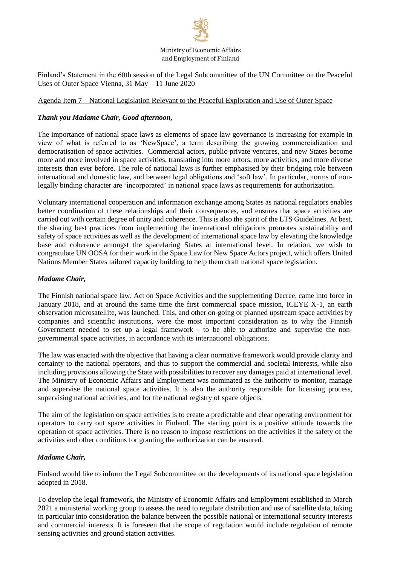# Ministry of Economic Affairs and Employment of Finland

Finland's Statement in the 60th session of the Legal Subcommittee of the UN Committee on the Peaceful Uses of Outer Space Vienna, 31 May – 11 June 2020

### Agenda Item 7 – National Legislation Relevant to the Peaceful Exploration and Use of Outer Space

### *Thank you Madame Chair, Good afternoon,*

The importance of national space laws as elements of space law governance is increasing for example in view of what is referred to as 'NewSpace', a term describing the growing commercialization and democratisation of space activities. Commercial actors, public-private ventures, and new States become more and more involved in space activities, translating into more actors, more activities, and more diverse interests than ever before. The role of national laws is further emphasised by their bridging role between international and domestic law, and between legal obligations and 'soft law'. In particular, norms of nonlegally binding character are 'incorporated' in national space laws as requirements for authorization.

Voluntary international cooperation and information exchange among States as national regulators enables better coordination of these relationships and their consequences, and ensures that space activities are carried out with certain degree of unity and coherence. This is also the spirit of the LTS Guidelines. At best, the sharing best practices from implementing the international obligations promotes sustainability and safety of space activities as well as the development of international space law by elevating the knowledge base and coherence amongst the spacefaring States at international level. In relation, we wish to congratulate UN OOSA for their work in the Space Law for New Space Actors project, which offers United Nations Member States tailored capacity building to help them draft national space legislation.

## *Madame Chair,*

The Finnish national space law, Act on Space Activities and the supplementing Decree, came into force in January 2018, and at around the same time the first commercial space mission, ICEYE X-1, an earth observation microsatellite, was launched. This, and other on-going or planned upstream space activities by companies and scientific institutions, were the most important consideration as to why the Finnish Government needed to set up a legal framework - to be able to authorize and supervise the nongovernmental space activities, in accordance with its international obligations.

The law was enacted with the objective that having a clear normative framework would provide clarity and certainty to the national operators, and thus to support the commercial and societal interests, while also including provisions allowing the State with possibilities to recover any damages paid at international level. The Ministry of Economic Affairs and Employment was nominated as the authority to monitor, manage and supervise the national space activities. It is also the authority responsible for licensing process, supervising national activities, and for the national registry of space objects.

The aim of the legislation on space activities is to create a predictable and clear operating environment for operators to carry out space activities in Finland. The starting point is a positive attitude towards the operation of space activities. There is no reason to impose restrictions on the activities if the safety of the activities and other conditions for granting the authorization can be ensured.

#### *Madame Chair,*

Finland would like to inform the Legal Subcommittee on the developments of its national space legislation adopted in 2018.

To develop the legal framework, the Ministry of Economic Affairs and Employment established in March 2021 a ministerial working group to assess the need to regulate distribution and use of satellite data, taking in particular into consideration the balance between the possible national or international security interests and commercial interests. It is foreseen that the scope of regulation would include regulation of remote sensing activities and ground station activities.